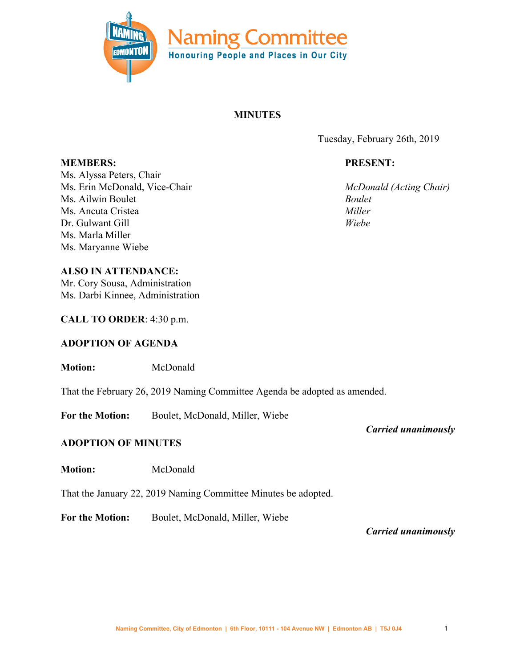

# **MINUTES**

Tuesday, February 26th, 2019

# **PRESENT:**

*McDonald (Acting Chair) Boulet Miller Wiebe*

**MEMBERS:** Ms. Alyssa Peters, Chair Ms. Erin McDonald, Vice-Chair Ms. Ailwin Boulet Ms. Ancuta Cristea Dr. Gulwant Gill Ms. Marla Miller Ms. Maryanne Wiebe

**ALSO IN ATTENDANCE:**

Mr. Cory Sousa, Administration Ms. Darbi Kinnee, Administration

**CALL TO ORDER**: 4:30 p.m.

## **ADOPTION OF AGENDA**

**Motion:** McDonald

That the February 26, 2019 Naming Committee Agenda be adopted as amended.

**For the Motion:** Boulet, McDonald, Miller, Wiebe

# **ADOPTION OF MINUTES**

**Motion:** McDonald

That the January 22, 2019 Naming Committee Minutes be adopted.

**For the Motion:** Boulet, McDonald, Miller, Wiebe

*Carried unanimously*

*Carried unanimously*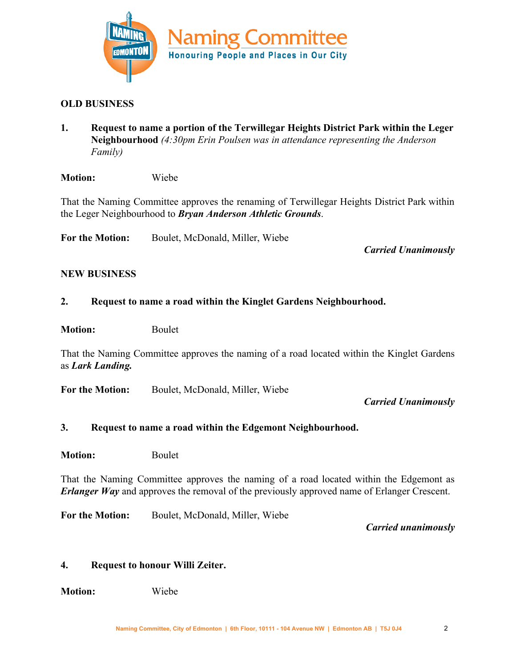

## **OLD BUSINESS**

**1. Request to name a portion of the Terwillegar Heights District Park within the Leger Neighbourhood** *(4:30pm Erin Poulsen was in attendance representing the Anderson Family)*

**Motion:** Wiebe

That the Naming Committee approves the renaming of Terwillegar Heights District Park within the Leger Neighbourhood to *Bryan Anderson Athletic Grounds*.

**For the Motion:** Boulet, McDonald, Miller, Wiebe

*Carried Unanimously*

#### **NEW BUSINESS**

#### **2. Request to name a road within the Kinglet Gardens Neighbourhood.**

**Motion:** Boulet

That the Naming Committee approves the naming of a road located within the Kinglet Gardens as *Lark Landing.*

**For the Motion:** Boulet, McDonald, Miller, Wiebe

*Carried Unanimously*

#### **3. Request to name a road within the Edgemont Neighbourhood.**

**Motion:** Boulet

That the Naming Committee approves the naming of a road located within the Edgemont as *Erlanger Way* and approves the removal of the previously approved name of Erlanger Crescent.

**For the Motion:** Boulet, McDonald, Miller, Wiebe

*Carried unanimously*

#### **4. Request to honour Willi Zeiter.**

**Motion:** Wiebe